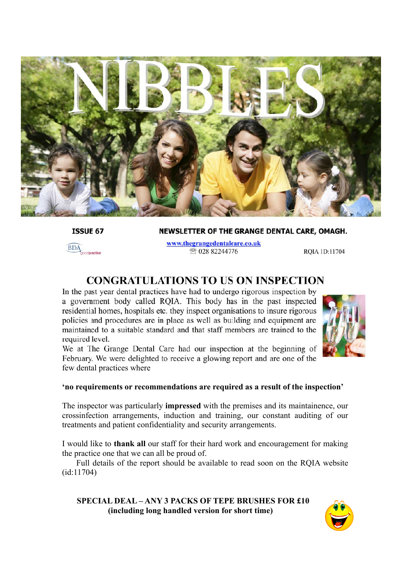

**ISSUE 67** 

NEWSLETTER OF THE GRANGE DENTAL CARE, OMAGH.



www.thegrangedentalcare.co.uk ☎ 028 82244776

RQIA 1D:11704

### **CONGRATULATIONS TO US ON INSPECTION**

In the past year dental practices have had to undergo rigorous inspection by a government body called RQIA. This body has in the past inspected residential homes, hospitals etc. they inspect organisations to insure rigorous policies and procedures are in place as well as building and equipment are maintained to a suitable standard and that staff members are trained to the required level.



We at The Grange Dental Care had our inspection at the beginning of February. We were delighted to receive a glowing report and are one of the few dental practices where

#### **'no requirements or recommendations are required as a result of the inspection'**

The inspector was particularly **impressed** with the premises and its maintainence, our crossinfection arrangements, induction and training, our constant auditing of our treatments and patient confidentiality and security arrangements.

I would like to **thank all** our staff for their hard work and encouragement for making the practice one that we can all be proud of.

Full details of the report should be available to read soon on the RQIA website (id:11704)

**SPECIAL DEAL – ANY 3 PACKS OF TEPE BRUSHES FOR £10 (including long handled version for short time)**